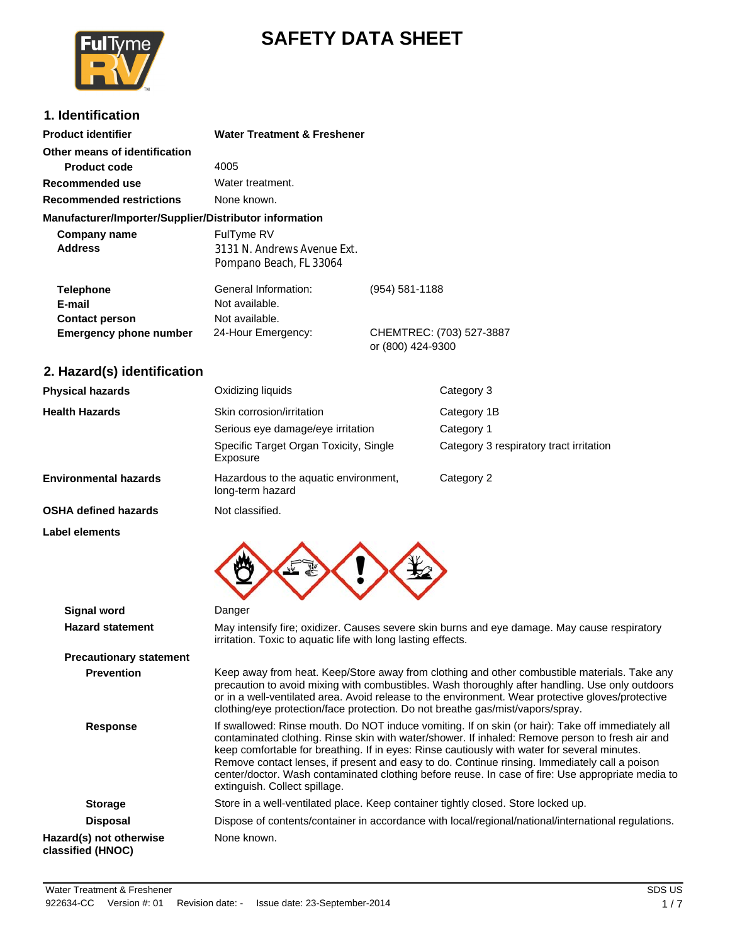

# **SAFETY DATA SHEET**

## **1. Identification**

| <b>Product identifier</b>                              | <b>Water Treatment &amp; Freshener</b>                               |                                               |
|--------------------------------------------------------|----------------------------------------------------------------------|-----------------------------------------------|
| Other means of identification                          |                                                                      |                                               |
| <b>Product code</b>                                    | 4005                                                                 |                                               |
| Recommended use                                        | Water treatment.                                                     |                                               |
| <b>Recommended restrictions</b>                        | None known.                                                          |                                               |
| Manufacturer/Importer/Supplier/Distributor information |                                                                      |                                               |
| Company name<br><b>Address</b>                         | FulTyme RV<br>3131 N. Andrews Avenue Ext.<br>Pompano Beach, FL 33064 |                                               |
| <b>Telephone</b><br>E-mail<br><b>Contact person</b>    | General Information:<br>Not available.<br>Not available.             | (954) 581-1188                                |
| <b>Emergency phone number</b>                          | 24-Hour Emergency:                                                   | CHEMTREC: (703) 527-3887<br>or (800) 424-9300 |

## **2. Hazard(s) identification**

| <b>Physical hazards</b>      | Oxidizing liquids                                         | Category 3                              |
|------------------------------|-----------------------------------------------------------|-----------------------------------------|
| <b>Health Hazards</b>        | Skin corrosion/irritation                                 | Category 1B                             |
|                              | Serious eye damage/eye irritation                         | Category 1                              |
|                              | Specific Target Organ Toxicity, Single<br>Exposure        | Category 3 respiratory tract irritation |
| <b>Environmental hazards</b> | Hazardous to the aquatic environment,<br>long-term hazard | Category 2                              |
| <b>OSHA defined hazards</b>  | Not classified.                                           |                                         |

**Label elements**



| <b>Signal word</b>                           | Danger                                                                                                                                                                                                                                                                                                                                                                                                                                                                                                                                      |
|----------------------------------------------|---------------------------------------------------------------------------------------------------------------------------------------------------------------------------------------------------------------------------------------------------------------------------------------------------------------------------------------------------------------------------------------------------------------------------------------------------------------------------------------------------------------------------------------------|
| <b>Hazard statement</b>                      | May intensify fire; oxidizer. Causes severe skin burns and eye damage. May cause respiratory<br>irritation. Toxic to aquatic life with long lasting effects.                                                                                                                                                                                                                                                                                                                                                                                |
| <b>Precautionary statement</b>               |                                                                                                                                                                                                                                                                                                                                                                                                                                                                                                                                             |
| <b>Prevention</b>                            | Keep away from heat. Keep/Store away from clothing and other combustible materials. Take any<br>precaution to avoid mixing with combustibles. Wash thoroughly after handling. Use only outdoors<br>or in a well-ventilated area. Avoid release to the environment. Wear protective gloves/protective<br>clothing/eye protection/face protection. Do not breathe gas/mist/vapors/spray.                                                                                                                                                      |
| <b>Response</b>                              | If swallowed: Rinse mouth. Do NOT induce vomiting. If on skin (or hair): Take off immediately all<br>contaminated clothing. Rinse skin with water/shower. If inhaled: Remove person to fresh air and<br>keep comfortable for breathing. If in eyes: Rinse cautiously with water for several minutes.<br>Remove contact lenses, if present and easy to do. Continue rinsing. Immediately call a poison<br>center/doctor. Wash contaminated clothing before reuse. In case of fire: Use appropriate media to<br>extinguish. Collect spillage. |
| <b>Storage</b>                               | Store in a well-ventilated place. Keep container tightly closed. Store locked up.                                                                                                                                                                                                                                                                                                                                                                                                                                                           |
| <b>Disposal</b>                              | Dispose of contents/container in accordance with local/regional/national/international regulations.                                                                                                                                                                                                                                                                                                                                                                                                                                         |
| Hazard(s) not otherwise<br>classified (HNOC) | None known.                                                                                                                                                                                                                                                                                                                                                                                                                                                                                                                                 |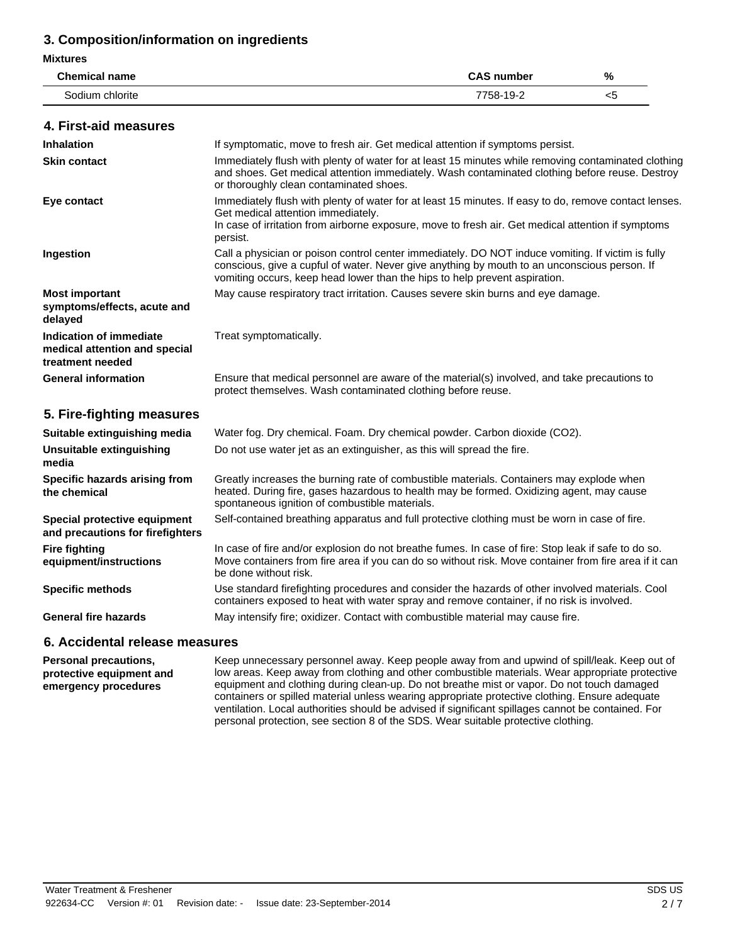## 3. Composition/information on ingredients

### **Mixtures**

| <b>Chemical name</b> | <b>CAS number</b> | %  |
|----------------------|-------------------|----|
| Sodium chlorite      | 7758-19-2         | <5 |

### 4 First-aid measures

| סטווו אונטאוו וואז איז ו                                                     |                                                                                                                                                                                                                                                                                 |
|------------------------------------------------------------------------------|---------------------------------------------------------------------------------------------------------------------------------------------------------------------------------------------------------------------------------------------------------------------------------|
| <b>Inhalation</b>                                                            | If symptomatic, move to fresh air. Get medical attention if symptoms persist.                                                                                                                                                                                                   |
| <b>Skin contact</b>                                                          | Immediately flush with plenty of water for at least 15 minutes while removing contaminated clothing<br>and shoes. Get medical attention immediately. Wash contaminated clothing before reuse. Destroy<br>or thoroughly clean contaminated shoes.                                |
| Eye contact                                                                  | Immediately flush with plenty of water for at least 15 minutes. If easy to do, remove contact lenses.<br>Get medical attention immediately.<br>In case of irritation from airborne exposure, move to fresh air. Get medical attention if symptoms<br>persist.                   |
| Ingestion                                                                    | Call a physician or poison control center immediately. DO NOT induce vomiting. If victim is fully<br>conscious, give a cupful of water. Never give anything by mouth to an unconscious person. If<br>vomiting occurs, keep head lower than the hips to help prevent aspiration. |
| <b>Most important</b><br>symptoms/effects, acute and<br>delayed              | May cause respiratory tract irritation. Causes severe skin burns and eye damage.                                                                                                                                                                                                |
| Indication of immediate<br>medical attention and special<br>treatment needed | Treat symptomatically.                                                                                                                                                                                                                                                          |
| <b>General information</b>                                                   | Ensure that medical personnel are aware of the material(s) involved, and take precautions to<br>protect themselves. Wash contaminated clothing before reuse.                                                                                                                    |
| 5. Fire-fighting measures                                                    |                                                                                                                                                                                                                                                                                 |
| Suitable extinguishing media                                                 | Water fog. Dry chemical. Foam. Dry chemical powder. Carbon dioxide (CO2).                                                                                                                                                                                                       |
| Unsuitable extinguishing<br>media                                            | Do not use water jet as an extinguisher, as this will spread the fire.                                                                                                                                                                                                          |
| Specific hazards arising from<br>the chemical                                | Greatly increases the burning rate of combustible materials. Containers may explode when<br>heated. During fire, gases hazardous to health may be formed. Oxidizing agent, may cause<br>spontaneous ignition of combustible materials.                                          |
| Special protective equipment<br>and precautions for firefighters             | Self-contained breathing apparatus and full protective clothing must be worn in case of fire.                                                                                                                                                                                   |
| <b>Fire fighting</b><br>equipment/instructions                               | In case of fire and/or explosion do not breathe fumes. In case of fire: Stop leak if safe to do so.<br>Move containers from fire area if you can do so without risk. Move container from fire area if it can<br>be done without risk.                                           |
| <b>Specific methods</b>                                                      | Use standard firefighting procedures and consider the hazards of other involved materials. Cool<br>containers exposed to heat with water spray and remove container, if no risk is involved.                                                                                    |
| <b>General fire hazards</b>                                                  | May intensify fire; oxidizer. Contact with combustible material may cause fire.                                                                                                                                                                                                 |
|                                                                              |                                                                                                                                                                                                                                                                                 |

### 6. Accidental release measures

**Personal precautions,** Keep unnecessary personnel away. Keep people away from and upwind of spill/leak. Keep out of low areas. Keep away from clothing and other combustible materials. Wear appropriate protective protective equipment and equipment and clothing during clean-up. Do not breathe mist or vapor. Do not touch damaged emergency procedures containers or spilled material unless wearing appropriate protective clothing. Ensure adequate ventilation. Local authorities should be advised if significant spillages cannot be contained. For personal protection, see section 8 of the SDS. Wear suitable protective clothing.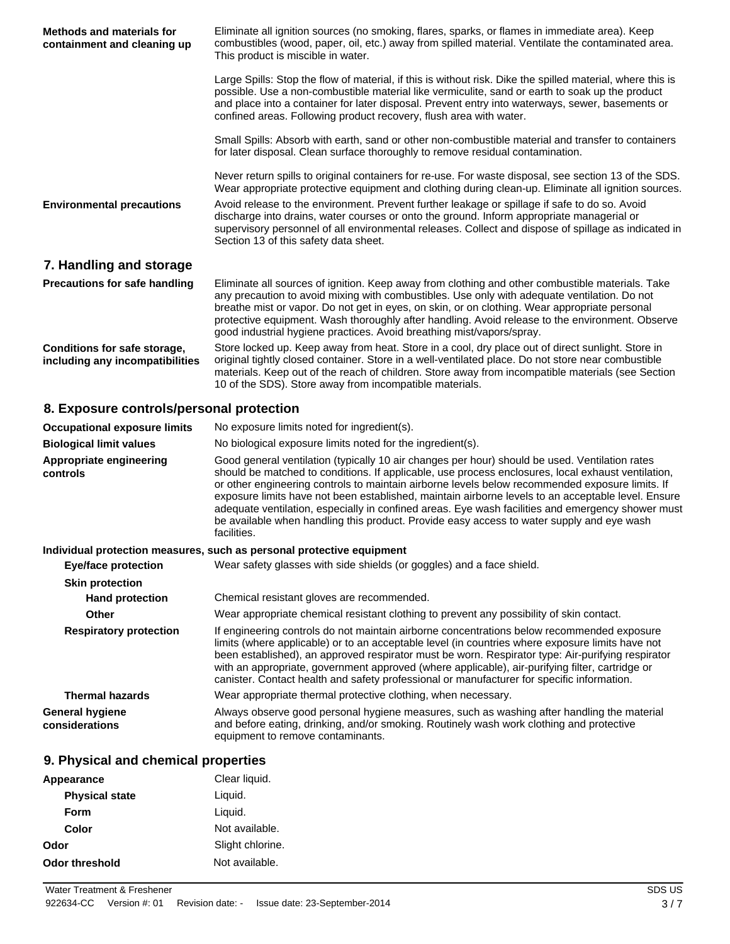| <b>Methods and materials for</b><br>containment and cleaning up | Eliminate all ignition sources (no smoking, flares, sparks, or flames in immediate area). Keep<br>combustibles (wood, paper, oil, etc.) away from spilled material. Ventilate the contaminated area.<br>This product is miscible in water.                                                                                                                                                                                                                                    |
|-----------------------------------------------------------------|-------------------------------------------------------------------------------------------------------------------------------------------------------------------------------------------------------------------------------------------------------------------------------------------------------------------------------------------------------------------------------------------------------------------------------------------------------------------------------|
|                                                                 | Large Spills: Stop the flow of material, if this is without risk. Dike the spilled material, where this is<br>possible. Use a non-combustible material like vermiculite, sand or earth to soak up the product<br>and place into a container for later disposal. Prevent entry into waterways, sewer, basements or<br>confined areas. Following product recovery, flush area with water.                                                                                       |
|                                                                 | Small Spills: Absorb with earth, sand or other non-combustible material and transfer to containers<br>for later disposal. Clean surface thoroughly to remove residual contamination.                                                                                                                                                                                                                                                                                          |
|                                                                 | Never return spills to original containers for re-use. For waste disposal, see section 13 of the SDS.<br>Wear appropriate protective equipment and clothing during clean-up. Eliminate all ignition sources.                                                                                                                                                                                                                                                                  |
| <b>Environmental precautions</b>                                | Avoid release to the environment. Prevent further leakage or spillage if safe to do so. Avoid<br>discharge into drains, water courses or onto the ground. Inform appropriate managerial or<br>supervisory personnel of all environmental releases. Collect and dispose of spillage as indicated in<br>Section 13 of this safety data sheet.                                                                                                                                   |
| 7. Handling and storage                                         |                                                                                                                                                                                                                                                                                                                                                                                                                                                                               |
| Precautions for safe handling                                   | Eliminate all sources of ignition. Keep away from clothing and other combustible materials. Take<br>any precaution to avoid mixing with combustibles. Use only with adequate ventilation. Do not<br>breathe mist or vapor. Do not get in eyes, on skin, or on clothing. Wear appropriate personal<br>protective equipment. Wash thoroughly after handling. Avoid release to the environment. Observe<br>good industrial hygiene practices. Avoid breathing mist/vapors/spray. |

Store locked up. Keep away from heat. Store in a cool, dry place out of direct sunlight. Store in Conditions for safe storage, original tightly closed container. Store in a well-ventilated place. Do not store near combustible including any incompatibilities materials. Keep out of the reach of children. Store away from incompatible materials (see Section 10 of the SDS). Store away from incompatible materials.

### 8. Exposure controls/personal protection

| <b>Occupational exposure limits</b> | No exposure limits noted for ingredient(s).                                                                                                                                                                                                                                                                                                                                                                                                                                                                                                                                                                                    |
|-------------------------------------|--------------------------------------------------------------------------------------------------------------------------------------------------------------------------------------------------------------------------------------------------------------------------------------------------------------------------------------------------------------------------------------------------------------------------------------------------------------------------------------------------------------------------------------------------------------------------------------------------------------------------------|
| <b>Biological limit values</b>      | No biological exposure limits noted for the ingredient(s).                                                                                                                                                                                                                                                                                                                                                                                                                                                                                                                                                                     |
| Appropriate engineering<br>controls | Good general ventilation (typically 10 air changes per hour) should be used. Ventilation rates<br>should be matched to conditions. If applicable, use process enclosures, local exhaust ventilation,<br>or other engineering controls to maintain airborne levels below recommended exposure limits. If<br>exposure limits have not been established, maintain airborne levels to an acceptable level. Ensure<br>adequate ventilation, especially in confined areas. Eye wash facilities and emergency shower must<br>be available when handling this product. Provide easy access to water supply and eye wash<br>facilities. |

### Individual protection measures, such as personal protective equipment

| <b>Eye/face protection</b>               | Wear safety glasses with side shields (or goggles) and a face shield.                                                                                                                                                                                                                                                                                                                                                                                                                                |
|------------------------------------------|------------------------------------------------------------------------------------------------------------------------------------------------------------------------------------------------------------------------------------------------------------------------------------------------------------------------------------------------------------------------------------------------------------------------------------------------------------------------------------------------------|
| <b>Skin protection</b>                   |                                                                                                                                                                                                                                                                                                                                                                                                                                                                                                      |
| <b>Hand protection</b>                   | Chemical resistant gloves are recommended.                                                                                                                                                                                                                                                                                                                                                                                                                                                           |
| <b>Other</b>                             | Wear appropriate chemical resistant clothing to prevent any possibility of skin contact.                                                                                                                                                                                                                                                                                                                                                                                                             |
| <b>Respiratory protection</b>            | If engineering controls do not maintain airborne concentrations below recommended exposure<br>limits (where applicable) or to an acceptable level (in countries where exposure limits have not<br>been established), an approved respirator must be worn. Respirator type: Air-purifying respirator<br>with an appropriate, government approved (where applicable), air-purifying filter, cartridge or<br>canister. Contact health and safety professional or manufacturer for specific information. |
| <b>Thermal hazards</b>                   | Wear appropriate thermal protective clothing, when necessary.                                                                                                                                                                                                                                                                                                                                                                                                                                        |
| <b>General hygiene</b><br>considerations | Always observe good personal hygiene measures, such as washing after handling the material<br>and before eating, drinking, and/or smoking. Routinely wash work clothing and protective<br>equipment to remove contaminants.                                                                                                                                                                                                                                                                          |

### 9. Physical and chemical properties

| Appearance            | Clear liquid.    |
|-----------------------|------------------|
| <b>Physical state</b> | Liquid.          |
| Form                  | Liquid.          |
| Color                 | Not available.   |
| Odor                  | Slight chlorine. |
| <b>Odor threshold</b> | Not available.   |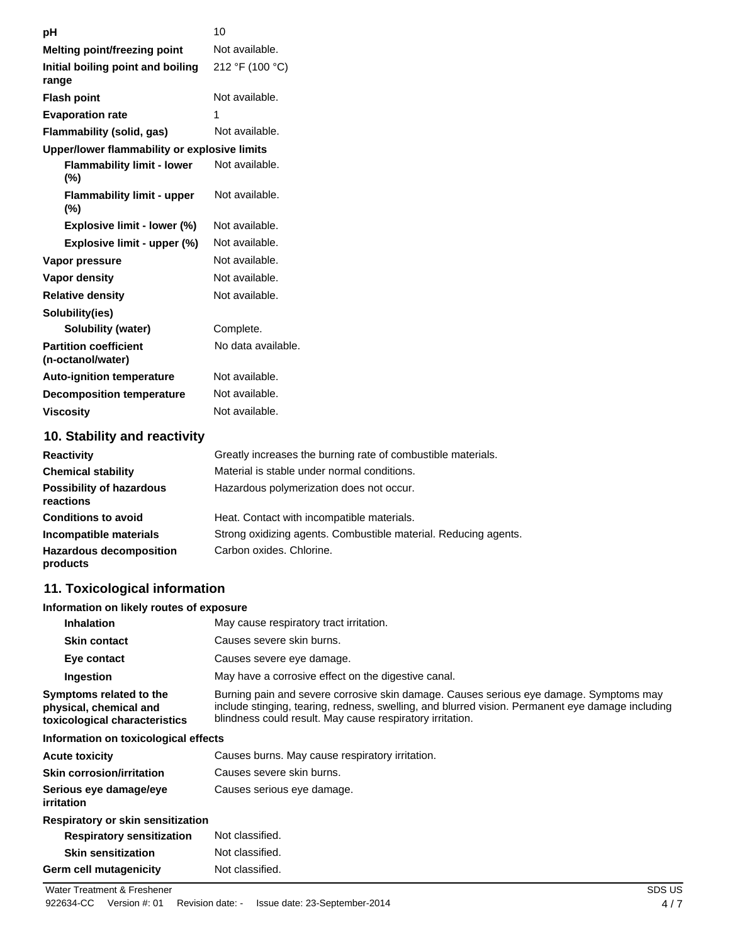| рH                                                | 10                                                           |
|---------------------------------------------------|--------------------------------------------------------------|
| <b>Melting point/freezing point</b>               | Not available.                                               |
| Initial boiling point and boiling<br>range        | 212 °F (100 °C)                                              |
| <b>Flash point</b>                                | Not available.                                               |
| <b>Evaporation rate</b>                           | 1                                                            |
| Flammability (solid, gas)                         | Not available.                                               |
| Upper/lower flammability or explosive limits      |                                                              |
| <b>Flammability limit - lower</b><br>$(\%)$       | Not available.                                               |
| <b>Flammability limit - upper</b><br>$(\%)$       | Not available.                                               |
| Explosive limit - lower (%)                       | Not available.                                               |
| Explosive limit - upper (%)                       | Not available.                                               |
| Vapor pressure                                    | Not available.                                               |
| <b>Vapor density</b>                              | Not available.                                               |
| <b>Relative density</b>                           | Not available.                                               |
| Solubility(ies)                                   |                                                              |
| Solubility (water)                                | Complete.                                                    |
| <b>Partition coefficient</b><br>(n-octanol/water) | No data available.                                           |
| <b>Auto-ignition temperature</b>                  | Not available.                                               |
| <b>Decomposition temperature</b>                  | Not available.                                               |
| <b>Viscosity</b>                                  | Not available.                                               |
| 10. Stability and reactivity                      |                                                              |
| <b>Reactivity</b>                                 | Greatly increases the burning rate of combustible materials. |

| <b>Reactivity</b>                            | Greatly increases the burning rate of combustible materials.    |
|----------------------------------------------|-----------------------------------------------------------------|
| <b>Chemical stability</b>                    | Material is stable under normal conditions.                     |
| <b>Possibility of hazardous</b><br>reactions | Hazardous polymerization does not occur.                        |
| <b>Conditions to avoid</b>                   | Heat. Contact with incompatible materials.                      |
| Incompatible materials                       | Strong oxidizing agents. Combustible material. Reducing agents. |
| <b>Hazardous decomposition</b><br>products   | Carbon oxides, Chlorine.                                        |

## 11. Toxicological information

### Information on likely routes of exposure

| <b>Inhalation</b>                                                                  | May cause respiratory tract irritation.                                                                                                                                                                                                                 |
|------------------------------------------------------------------------------------|---------------------------------------------------------------------------------------------------------------------------------------------------------------------------------------------------------------------------------------------------------|
| <b>Skin contact</b>                                                                | Causes severe skin burns.                                                                                                                                                                                                                               |
| Eye contact                                                                        | Causes severe eye damage.                                                                                                                                                                                                                               |
| Ingestion                                                                          | May have a corrosive effect on the digestive canal.                                                                                                                                                                                                     |
| Symptoms related to the<br>physical, chemical and<br>toxicological characteristics | Burning pain and severe corrosive skin damage. Causes serious eye damage. Symptoms may<br>include stinging, tearing, redness, swelling, and blurred vision. Permanent eye damage including<br>blindness could result. May cause respiratory irritation. |
|                                                                                    |                                                                                                                                                                                                                                                         |

### Information on toxicological effects

| <b>Acute toxicity</b>                       | Causes burns. May cause respiratory irritation. |
|---------------------------------------------|-------------------------------------------------|
| <b>Skin corrosion/irritation</b>            | Causes severe skin burns.                       |
| Serious eye damage/eye<br><i>irritation</i> | Causes serious eye damage.                      |

#### Respiratory or skin sensitization **Respiratory sensitization** Not classified.

| <b>Skin sensitization</b>     | Not classified. |
|-------------------------------|-----------------|
| <b>Germ cell mutagenicity</b> | Not classified. |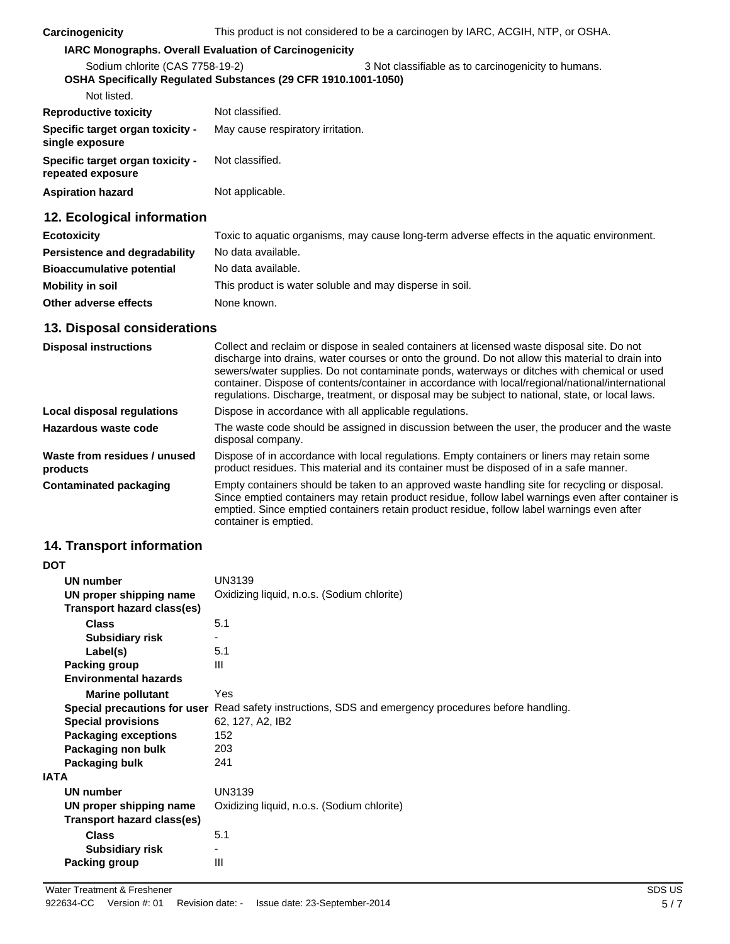### IARC Monographs. Overall Evaluation of Carcinogenicity

| Sodium chlorite (CAS 7758-19-2)<br>OSHA Specifically Regulated Substances (29 CFR 1910.1001-1050) |                                   | 3 Not classifiable as to carcinogenicity to humans. |
|---------------------------------------------------------------------------------------------------|-----------------------------------|-----------------------------------------------------|
| Not listed.                                                                                       |                                   |                                                     |
| <b>Reproductive toxicity</b>                                                                      | Not classified.                   |                                                     |
| Specific target organ toxicity -<br>single exposure                                               | May cause respiratory irritation. |                                                     |
| Specific target organ toxicity -<br>repeated exposure                                             | Not classified.                   |                                                     |
| <b>Aspiration hazard</b>                                                                          | Not applicable.                   |                                                     |

## 12. Ecological information

| <b>Ecotoxicity</b>               | Toxic to aquatic organisms, may cause long-term adverse effects in the aquatic environment. |
|----------------------------------|---------------------------------------------------------------------------------------------|
| Persistence and degradability    | No data available.                                                                          |
| <b>Bioaccumulative potential</b> | No data available.                                                                          |
| <b>Mobility in soil</b>          | This product is water soluble and may disperse in soil.                                     |
| Other adverse effects            | None known.                                                                                 |

### 13. Disposal considerations

| <b>Disposal instructions</b>             | Collect and reclaim or dispose in sealed containers at licensed waste disposal site. Do not<br>discharge into drains, water courses or onto the ground. Do not allow this material to drain into<br>sewers/water supplies. Do not contaminate ponds, waterways or ditches with chemical or used<br>container. Dispose of contents/container in accordance with local/regional/national/international<br>regulations. Discharge, treatment, or disposal may be subject to national, state, or local laws. |
|------------------------------------------|----------------------------------------------------------------------------------------------------------------------------------------------------------------------------------------------------------------------------------------------------------------------------------------------------------------------------------------------------------------------------------------------------------------------------------------------------------------------------------------------------------|
| Local disposal regulations               | Dispose in accordance with all applicable regulations.                                                                                                                                                                                                                                                                                                                                                                                                                                                   |
| Hazardous waste code                     | The waste code should be assigned in discussion between the user, the producer and the waste<br>disposal company.                                                                                                                                                                                                                                                                                                                                                                                        |
| Waste from residues / unused<br>products | Dispose of in accordance with local regulations. Empty containers or liners may retain some<br>product residues. This material and its container must be disposed of in a safe manner.                                                                                                                                                                                                                                                                                                                   |
| <b>Contaminated packaging</b>            | Empty containers should be taken to an approved waste handling site for recycling or disposal.<br>Since emptied containers may retain product residue, follow label warnings even after container is<br>emptied. Since emptied containers retain product residue, follow label warnings even after<br>container is emptied.                                                                                                                                                                              |

## 14. Transport information

 $- -$ 

| וטט  |                              |                                                                                                             |
|------|------------------------------|-------------------------------------------------------------------------------------------------------------|
|      | <b>UN number</b>             | UN3139                                                                                                      |
|      | UN proper shipping name      | Oxidizing liquid, n.o.s. (Sodium chlorite)                                                                  |
|      | Transport hazard class(es)   |                                                                                                             |
|      | <b>Class</b>                 | 5.1                                                                                                         |
|      | <b>Subsidiary risk</b>       |                                                                                                             |
|      | Label(s)                     | 5.1                                                                                                         |
|      | Packing group                | Ш                                                                                                           |
|      | <b>Environmental hazards</b> |                                                                                                             |
|      | <b>Marine pollutant</b>      | Yes                                                                                                         |
|      |                              | <b>Special precautions for user</b> Read safety instructions, SDS and emergency procedures before handling. |
|      | <b>Special provisions</b>    | 62, 127, A2, IB2                                                                                            |
|      | <b>Packaging exceptions</b>  | 152                                                                                                         |
|      | Packaging non bulk           | 203                                                                                                         |
|      | Packaging bulk               | 241                                                                                                         |
| IATA |                              |                                                                                                             |
|      | UN number                    | UN3139                                                                                                      |
|      | UN proper shipping name      | Oxidizing liquid, n.o.s. (Sodium chlorite)                                                                  |
|      | Transport hazard class(es)   |                                                                                                             |
|      | <b>Class</b>                 | 5.1                                                                                                         |
|      | <b>Subsidiary risk</b>       | ٠                                                                                                           |
|      | Packing group                | Ш                                                                                                           |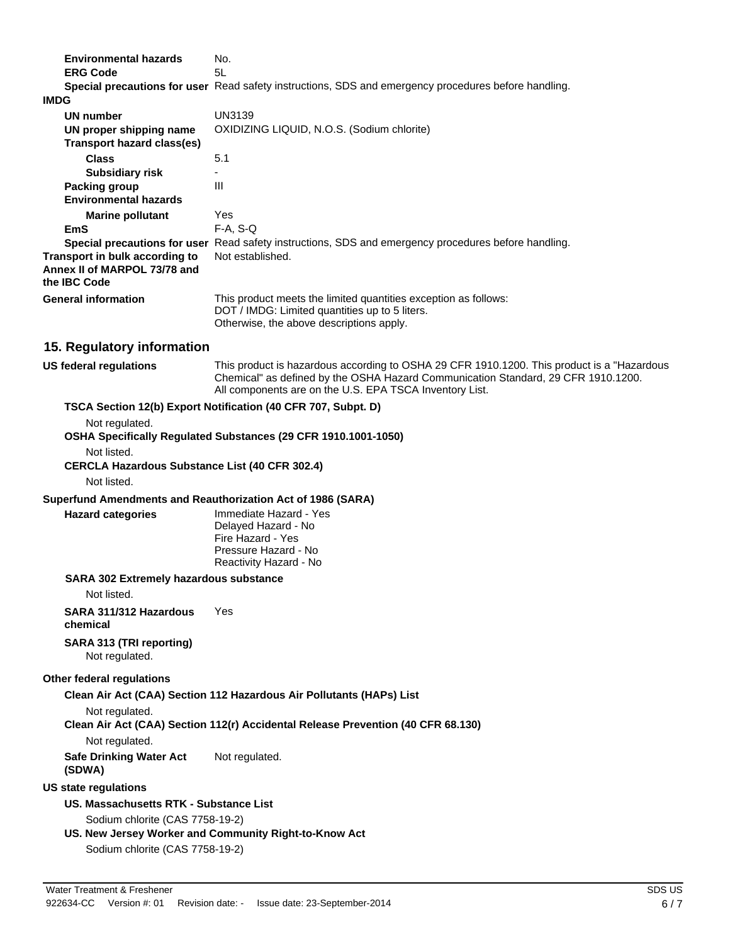| <b>Environmental hazards</b>                                         | No.                                                                                                                                                                                                                                        |
|----------------------------------------------------------------------|--------------------------------------------------------------------------------------------------------------------------------------------------------------------------------------------------------------------------------------------|
| <b>ERG Code</b>                                                      | 5L<br>Special precautions for user Read safety instructions, SDS and emergency procedures before handling.                                                                                                                                 |
| <b>IMDG</b>                                                          |                                                                                                                                                                                                                                            |
| UN number                                                            | UN3139                                                                                                                                                                                                                                     |
| UN proper shipping name                                              | OXIDIZING LIQUID, N.O.S. (Sodium chlorite)                                                                                                                                                                                                 |
| <b>Transport hazard class(es)</b>                                    |                                                                                                                                                                                                                                            |
| <b>Class</b>                                                         | 5.1                                                                                                                                                                                                                                        |
| <b>Subsidiary risk</b>                                               |                                                                                                                                                                                                                                            |
| <b>Packing group</b>                                                 | Ш                                                                                                                                                                                                                                          |
| <b>Environmental hazards</b>                                         |                                                                                                                                                                                                                                            |
| <b>Marine pollutant</b>                                              | Yes                                                                                                                                                                                                                                        |
| <b>EmS</b>                                                           | $F-A, S-Q$                                                                                                                                                                                                                                 |
| Transport in bulk according to                                       | Special precautions for user Read safety instructions, SDS and emergency procedures before handling.<br>Not established.                                                                                                                   |
| Annex II of MARPOL 73/78 and<br>the IBC Code                         |                                                                                                                                                                                                                                            |
| <b>General information</b>                                           | This product meets the limited quantities exception as follows:<br>DOT / IMDG: Limited quantities up to 5 liters.<br>Otherwise, the above descriptions apply.                                                                              |
| 15. Regulatory information                                           |                                                                                                                                                                                                                                            |
| US federal regulations                                               | This product is hazardous according to OSHA 29 CFR 1910.1200. This product is a "Hazardous<br>Chemical" as defined by the OSHA Hazard Communication Standard, 29 CFR 1910.1200.<br>All components are on the U.S. EPA TSCA Inventory List. |
|                                                                      | TSCA Section 12(b) Export Notification (40 CFR 707, Subpt. D)                                                                                                                                                                              |
| Not regulated.                                                       | OSHA Specifically Regulated Substances (29 CFR 1910.1001-1050)                                                                                                                                                                             |
| Not listed.<br><b>CERCLA Hazardous Substance List (40 CFR 302.4)</b> |                                                                                                                                                                                                                                            |
| Not listed.                                                          |                                                                                                                                                                                                                                            |
| Superfund Amendments and Reauthorization Act of 1986 (SARA)          |                                                                                                                                                                                                                                            |
| <b>Hazard categories</b>                                             | Immediate Hazard - Yes<br>Delayed Hazard - No                                                                                                                                                                                              |
|                                                                      | Fire Hazard - Yes                                                                                                                                                                                                                          |
|                                                                      | Pressure Hazard - No                                                                                                                                                                                                                       |
|                                                                      | Reactivity Hazard - No                                                                                                                                                                                                                     |
| <b>SARA 302 Extremely hazardous substance</b>                        |                                                                                                                                                                                                                                            |
| Not listed.                                                          |                                                                                                                                                                                                                                            |
| SARA 311/312 Hazardous<br>chemical                                   | Yes                                                                                                                                                                                                                                        |
| <b>SARA 313 (TRI reporting)</b><br>Not regulated.                    |                                                                                                                                                                                                                                            |
| Other federal regulations                                            |                                                                                                                                                                                                                                            |
|                                                                      | Clean Air Act (CAA) Section 112 Hazardous Air Pollutants (HAPs) List                                                                                                                                                                       |
| Not regulated.                                                       |                                                                                                                                                                                                                                            |
|                                                                      | Clean Air Act (CAA) Section 112(r) Accidental Release Prevention (40 CFR 68.130)                                                                                                                                                           |
| Not regulated.                                                       |                                                                                                                                                                                                                                            |
| <b>Safe Drinking Water Act</b><br>(SDWA)                             | Not regulated.                                                                                                                                                                                                                             |
| <b>US state regulations</b>                                          |                                                                                                                                                                                                                                            |
| US. Massachusetts RTK - Substance List                               |                                                                                                                                                                                                                                            |
| Sodium chlorite (CAS 7758-19-2)                                      |                                                                                                                                                                                                                                            |
|                                                                      | US. New Jersey Worker and Community Right-to-Know Act                                                                                                                                                                                      |
| Sodium chlorite (CAS 7758-19-2)                                      |                                                                                                                                                                                                                                            |
|                                                                      |                                                                                                                                                                                                                                            |
| Water Treatment & Freshener                                          | SDS                                                                                                                                                                                                                                        |